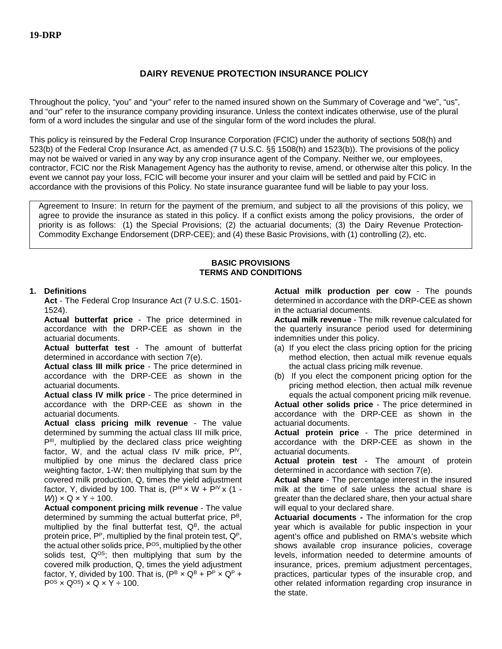## **DAIRY REVENUE PROTECTION INSURANCE POLICY**

Throughout the policy, "you" and "your" refer to the named insured shown on the Summary of Coverage and "we", "us", and "our" refer to the insurance company providing insurance. Unless the context indicates otherwise, use of the plural form of a word includes the singular and use of the singular form of the word includes the plural.

This policy is reinsured by the Federal Crop Insurance Corporation (FCIC) under the authority of sections 508(h) and 523(b) of the Federal Crop Insurance Act, as amended (7 U.S.C. §§ 1508(h) and 1523(b)). The provisions of the policy may not be waived or varied in any way by any crop insurance agent of the Company. Neither we, our employees, contractor, FCIC nor the Risk Management Agency has the authority to revise, amend, or otherwise alter this policy. In the event we cannot pay your loss, FCIC will become your insurer and your claim will be settled and paid by FCIC in accordance with the provisions of this Policy. No state insurance guarantee fund will be liable to pay your loss.

Agreement to Insure: In return for the payment of the premium, and subject to all the provisions of this policy, we agree to provide the insurance as stated in this policy. If a conflict exists among the policy provisions, the order of priority is as follows: (1) the Special Provisions; (2) the actuarial documents; (3) the Dairy Revenue Protection-Commodity Exchange Endorsement (DRP-CEE); and (4) these Basic Provisions, with (1) controlling (2), etc.

#### **BASIC PROVISIONS TERMS AND CONDITIONS**

### **1. Definitions**

**Act** - The Federal Crop Insurance Act (7 U.S.C. 1501- 1524).

**Actual butterfat price** - The price determined in accordance with the DRP-CEE as shown in the actuarial documents.

**Actual butterfat test** - The amount of butterfat determined in accordance with section 7(e).

**Actual class III milk price** - The price determined in accordance with the DRP-CEE as shown in the actuarial documents.

**Actual class IV milk price** - The price determined in accordance with the DRP-CEE as shown in the actuarial documents.

**Actual class pricing milk revenue** - The value determined by summing the actual class III milk price, P<sup>III</sup>, multiplied by the declared class price weighting factor, W, and the actual class IV milk price,  $P^{\text{IV}}$ , multiplied by one minus the declared class price weighting factor, 1-W; then multiplying that sum by the covered milk production, Q, times the yield adjustment factor, Y, divided by 100. That is,  $(P^{III} \times W + P^{IV} \times (1 W$ ) × Q × Y ÷ 100.

**Actual component pricing milk revenue** - The value determined by summing the actual butterfat price, PB, multiplied by the final butterfat test,  $Q^B$ , the actual protein price, P<sup>P</sup>, multiplied by the final protein test, Q<sup>P</sup>, the actual other solids price, P<sup>OS</sup>, multiplied by the other solids test,  $Q^{OS}$ ; then multiplying that sum by the covered milk production, Q, times the yield adjustment factor, Y, divided by 100. That is,  $(P^B \times Q^B + P^P \times Q^P +$  $P^{OS} \times Q^{OS} \times Q \times Y \div 100$ .

**Actual milk production per cow** - The pounds determined in accordance with the DRP-CEE as shown in the actuarial documents.

**Actual milk revenue** - The milk revenue calculated for the quarterly insurance period used for determining indemnities under this policy.

- (a) If you elect the class pricing option for the pricing method election, then actual milk revenue equals the actual class pricing milk revenue.
- (b) If you elect the component pricing option for the pricing method election, then actual milk revenue equals the actual component pricing milk revenue.

**Actual other solids price** - The price determined in accordance with the DRP-CEE as shown in the actuarial documents.

**Actual protein price** - The price determined in accordance with the DRP-CEE as shown in the actuarial documents.

**Actual protein test** - The amount of protein determined in accordance with section 7(e).

**Actual share** - The percentage interest in the insured milk at the time of sale unless the actual share is greater than the declared share, then your actual share will equal to your declared share.

**Actuarial documents -** The information for the crop year which is available for public inspection in your agent's office and published on RMA's website which shows available crop insurance policies, coverage levels, information needed to determine amounts of insurance, prices, premium adjustment percentages, practices, particular types of the insurable crop, and other related information regarding crop insurance in the state.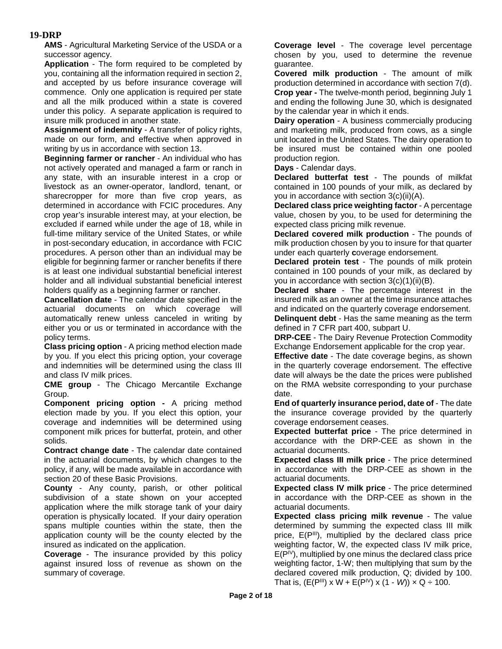**AMS** - Agricultural Marketing Service of the USDA or a successor agency.

**Application** - The form required to be completed by you, containing all the information required in section 2, and accepted by us before insurance coverage will commence. Only one application is required per state and all the milk produced within a state is covered under this policy. A separate application is required to insure milk produced in another state.

**Assignment of indemnity** - A transfer of policy rights, made on our form, and effective when approved in writing by us in accordance with section 13.

**Beginning farmer or rancher** - An individual who has not actively operated and managed a farm or ranch in any state, with an insurable interest in a crop or livestock as an owner-operator, landlord, tenant, or sharecropper for more than five crop years, as determined in accordance with FCIC procedures. Any crop year's insurable interest may, at your election, be excluded if earned while under the age of 18, while in full-time military service of the United States, or while in post-secondary education, in accordance with FCIC procedures. A person other than an individual may be eligible for beginning farmer or rancher benefits if there is at least one individual substantial beneficial interest holder and all individual substantial beneficial interest holders qualify as a beginning farmer or rancher.

**Cancellation date** - The calendar date specified in the actuarial documents on which coverage will automatically renew unless canceled in writing by either you or us or terminated in accordance with the policy terms.

**Class pricing option** - A pricing method election made by you. If you elect this pricing option, your coverage and indemnities will be determined using the class III and class IV milk prices.

**CME group** - The Chicago Mercantile Exchange Group.

**Component pricing option -** A pricing method election made by you. If you elect this option, your coverage and indemnities will be determined using component milk prices for butterfat, protein, and other solids.

**Contract change date** - The calendar date contained in the actuarial documents, by which changes to the policy, if any, will be made available in accordance with section 20 of these Basic Provisions.

**County** - Any county, parish, or other political subdivision of a state shown on your accepted application where the milk storage tank of your dairy operation is physically located. If your dairy operation spans multiple counties within the state, then the application county will be the county elected by the insured as indicated on the application.

**Coverage** - The insurance provided by this policy against insured loss of revenue as shown on the summary of coverage.

**Coverage level** - The coverage level percentage chosen by you, used to determine the revenue guarantee.

**Covered milk production** - The amount of milk production determined in accordance with section 7(d). **Crop year -** The twelve-month period, beginning July 1 and ending the following June 30, which is designated by the calendar year in which it ends.

**Dairy operation** - A business commercially producing and marketing milk, produced from cows, as a single unit located in the United States. The dairy operation to be insured must be contained within one pooled production region.

**Days** - Calendar days.

**Declared butterfat test** - The pounds of milkfat contained in 100 pounds of your milk, as declared by you in accordance with section 3(c)(ii)(A).

**Declared class price weighting factor** - A percentage value, chosen by you, to be used for determining the expected class pricing milk revenue.

**Declared covered milk production** - The pounds of milk production chosen by you to insure for that quarter under each quarterly **c**overage endorsement.

**Declared protein test** - The pounds of milk protein contained in 100 pounds of your milk, as declared by you in accordance with section  $3(c)(1)(ii)(B)$ .

**Declared share** - The percentage interest in the insured milk as an owner at the time insurance attaches and indicated on the quarterly coverage endorsement.

**Delinquent debt** - Has the same meaning as the term defined in 7 CFR part 400, subpart U.

**DRP-CEE** - The Dairy Revenue Protection Commodity Exchange Endorsement applicable for the crop year.

**Effective date** - The date coverage begins, as shown in the quarterly coverage endorsement. The effective date will always be the date the prices were published on the RMA website corresponding to your purchase date.

**End of quarterly insurance period, date of** - The date the insurance coverage provided by the quarterly coverage endorsement ceases.

**Expected butterfat price** - The price determined in accordance with the DRP-CEE as shown in the actuarial documents.

**Expected class III milk price** - The price determined in accordance with the DRP-CEE as shown in the actuarial documents.

**Expected class IV milk price** - The price determined in accordance with the DRP-CEE as shown in the actuarial documents.

**Expected class pricing milk revenue** - The value determined by summing the expected class III milk price,  $E(P^{\text{III}})$ , multiplied by the declared class price weighting factor, W, the expected class IV milk price,  $E(P^{\mid V})$ , multiplied by one minus the declared class price weighting factor, 1-W; then multiplying that sum by the declared covered milk production, Q; divided by 100. That is,  $(E(P^{\text{III}}) \times W + E(P^{\text{IV}}) \times (1 - W) \times Q \div 100$ .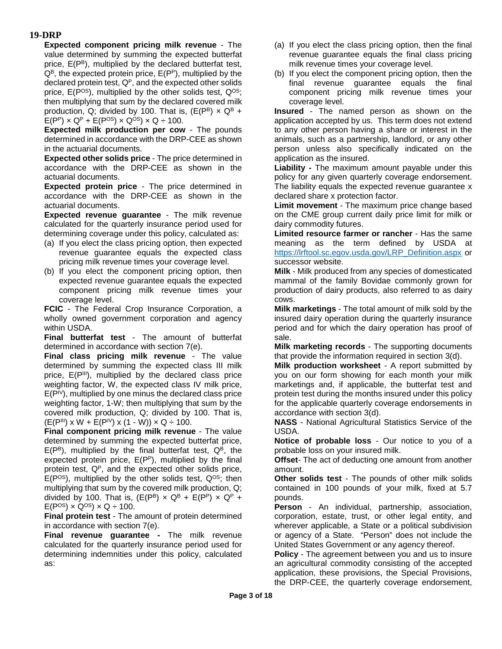**Expected component pricing milk revenue** - The value determined by summing the expected butterfat price, E(PB), multiplied by the declared butterfat test,  $Q^B$ , the expected protein price,  $E(P^P)$ , multiplied by the declared protein test,  $Q<sup>P</sup>$ , and the expected other solids price,  $E(P^{OS})$ , multiplied by the other solids test,  $Q^{OS}$ ; then multiplying that sum by the declared covered milk production, Q; divided by 100. That is,  $(E(P^B) \times Q^B +$  $E(P^P) \times Q^P + E(P^{OS}) \times Q^{OS} \times Q \div 100$ .

**Expected milk production per cow** - The pounds determined in accordance with the DRP-CEE as shown in the actuarial documents.

**Expected other solids price** - The price determined in accordance with the DRP-CEE as shown in the actuarial documents.

**Expected protein price** - The price determined in accordance with the DRP-CEE as shown in the actuarial documents.

**Expected revenue guarantee** - The milk revenue calculated for the quarterly insurance period used for determining coverage under this policy, calculated as:

- (a) If you elect the class pricing option, then expected revenue guarantee equals the expected class pricing milk revenue times your coverage level.
- (b) If you elect the component pricing option, then expected revenue guarantee equals the expected component pricing milk revenue times your coverage level.

**FCIC** - The Federal Crop Insurance Corporation, a wholly owned government corporation and agency within USDA.

**Final butterfat test** - The amount of butterfat determined in accordance with section 7(e).

**Final class pricing milk revenue** - The value determined by summing the expected class III milk price,  $E(P^{\text{III}})$ , multiplied by the declared class price weighting factor, W, the expected class IV milk price,  $E(P^{|V})$ , multiplied by one minus the declared class price weighting factor, 1-W; then multiplying that sum by the covered milk production, Q; divided by 100. That is,  $(E(P^{III}) \times W + E(P^{IV}) \times (1 - W)) \times Q \div 100.$ 

**Final component pricing milk revenue** - The value determined by summing the expected butterfat price,  $E(P^B)$ , multiplied by the final butterfat test,  $Q^B$ , the expected protein price, E(PP), multiplied by the final protein test,  $Q<sup>P</sup>$ , and the expected other solids price,  $E(P^{OS})$ , multiplied by the other solids test,  $Q^{OS}$ ; then multiplying that sum by the covered milk production, Q; divided by 100. That is,  $(E(P^B) \times Q^B + E(P^P) \times Q^P +$  $E(P^{OS}) \times Q^{OS} \times Q \div 100$ .

**Final protein test** - The amount of protein determined in accordance with section 7(e).

**Final revenue guarantee -** The milk revenue calculated for the quarterly insurance period used for determining indemnities under this policy, calculated as:

- (a) If you elect the class pricing option, then the final revenue guarantee equals the final class pricing milk revenue times your coverage level.
- (b) If you elect the component pricing option, then the final revenue guarantee equals the final component pricing milk revenue times your coverage level.

**Insured** - The named person as shown on the application accepted by us. This term does not extend to any other person having a share or interest in the animals, such as a partnership, landlord, or any other person unless also specifically indicated on the application as the insured.

**Liability -** The maximum amount payable under this policy for any given quarterly coverage endorsement. The liability equals the expected revenue guarantee x declared share x protection factor.

**Limit movement** - The maximum price change based on the CME group current daily price limit for milk or dairy commodity futures.

**Limited resource farmer or rancher** - Has the same meaning as the term defined by USDA at [https://lrftool.sc.egov.usda.gov/LRP\\_Definition.aspx](https://lrftool.sc.egov.usda.gov/LRP_Definition.aspx) or successor website.

**Milk** - Milk produced from any species of domesticated mammal of the family Bovidae commonly grown for production of dairy products, also referred to as dairy cows.

**Milk marketings** - The total amount of milk sold by the insured dairy operation during the quarterly insurance period and for which the dairy operation has proof of sale.

**Milk marketing records** - The supporting documents that provide the information required in section 3(d).

**Milk production worksheet** - A report submitted by you on our form showing for each month your milk marketings and, if applicable, the butterfat test and protein test during the months insured under this policy for the applicable quarterly coverage endorsements in accordance with section 3(d).

**NASS** - National Agricultural Statistics Service of the USDA.

**Notice of probable loss** - Our notice to you of a probable loss on your insured milk.

**Offset**- The act of deducting one amount from another amount.

**Other solids test** - The pounds of other milk solids contained in 100 pounds of your milk, fixed at 5.7 pounds.

**Person** - An individual, partnership, association, corporation, estate, trust, or other legal entity, and wherever applicable, a State or a political subdivision or agency of a State. "Person" does not include the United States Government or any agency thereof.

**Policy** - The agreement between you and us to insure an agricultural commodity consisting of the accepted application, these provisions, the Special Provisions, the DRP-CEE, the quarterly coverage endorsement,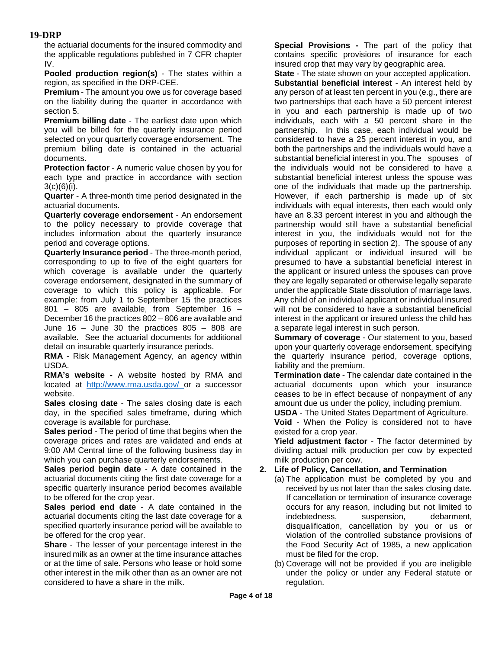the actuarial documents for the insured commodity and the applicable regulations published in 7 CFR chapter IV.

**Pooled production region(s)** - The states within a region, as specified in the DRP-CEE.

**Premium** - The amount you owe us for coverage based on the liability during the quarter in accordance with section 5.

**Premium billing date** - The earliest date upon which you will be billed for the quarterly insurance period selected on your quarterly coverage endorsement. The premium billing date is contained in the actuarial documents.

**Protection factor** - A numeric value chosen by you for each type and practice in accordance with section  $3(c)(6)(i)$ .

**Quarter** - A three-month time period designated in the actuarial documents.

**Quarterly coverage endorsement** - An endorsement to the policy necessary to provide coverage that includes information about the quarterly insurance period and coverage options.

**Quarterly Insurance period** - The three-month period, corresponding to up to five of the eight quarters for which coverage is available under the quarterly coverage endorsement, designated in the summary of coverage to which this policy is applicable. For example: from July 1 to September 15 the practices 801 – 805 are available, from September 16 – December 16 the practices 802 – 806 are available and June  $16 -$  June 30 the practices  $805 - 808$  are available. See the actuarial documents for additional detail on insurable quarterly insurance periods.

**RMA** - Risk Management Agency, an agency within USDA.

**RMA's website -** A website hosted by RMA and located at [http://www.rma.usda.gov/ o](http://www.rma.usda.gov/)r a successor website.

**Sales closing date** - The sales closing date is each day, in the specified sales timeframe, during which coverage is available for purchase.

**Sales period** - The period of time that begins when the coverage prices and rates are validated and ends at 9:00 AM Central time of the following business day in which you can purchase quarterly endorsements.

**Sales period begin date** - A date contained in the actuarial documents citing the first date coverage for a specific quarterly insurance period becomes available to be offered for the crop year.

**Sales period end date** - A date contained in the actuarial documents citing the last date coverage for a specified quarterly insurance period will be available to be offered for the crop year.

**Share** - The lesser of your percentage interest in the insured milk as an owner at the time insurance attaches or at the time of sale. Persons who lease or hold some other interest in the milk other than as an owner are not considered to have a share in the milk.

**Special Provisions -** The part of the policy that contains specific provisions of insurance for each insured crop that may vary by geographic area.

**State** - The state shown on your accepted application. **Substantial beneficial interest** - An interest held by any person of at least ten percent in you (e.g., there are two partnerships that each have a 50 percent interest in you and each partnership is made up of two individuals, each with a 50 percent share in the partnership. In this case, each individual would be considered to have a 25 percent interest in you, and both the partnerships and the individuals would have a substantial beneficial interest in you.The spouses of the individuals would not be considered to have a substantial beneficial interest unless the spouse was one of the individuals that made up the partnership. However, if each partnership is made up of six individuals with equal interests, then each would only have an 8.33 percent interest in you and although the partnership would still have a substantial beneficial interest in you, the individuals would not for the purposes of reporting in section 2). The spouse of any individual applicant or individual insured will be presumed to have a substantial beneficial interest in the applicant or insured unless the spouses can prove they are legally separated or otherwise legally separate under the applicable State dissolution of marriage laws. Any child of an individual applicant or individual insured will not be considered to have a substantial beneficial interest in the applicant or insured unless the child has a separate legal interest in such person.

**Summary of coverage** - Our statement to you, based upon your quarterly coverage endorsement, specifying the quarterly insurance period, coverage options, liability and the premium.

**Termination date** - The calendar date contained in the actuarial documents upon which your insurance ceases to be in effect because of nonpayment of any amount due us under the policy, including premium.

**USDA** - The United States Department of Agriculture. **Void** - When the Policy is considered not to have existed for a crop year.

**Yield adjustment factor** - The factor determined by dividing actual milk production per cow by expected milk production per cow.

### **2. Life of Policy, Cancellation, and Termination**

- (a) The application must be completed by you and received by us not later than the sales closing date. If cancellation or termination of insurance coverage occurs for any reason, including but not limited to indebtedness, suspension, debarment, disqualification, cancellation by you or us or violation of the controlled substance provisions of the Food Security Act of 1985, a new application must be filed for the crop.
- (b) Coverage will not be provided if you are ineligible under the policy or under any Federal statute or regulation.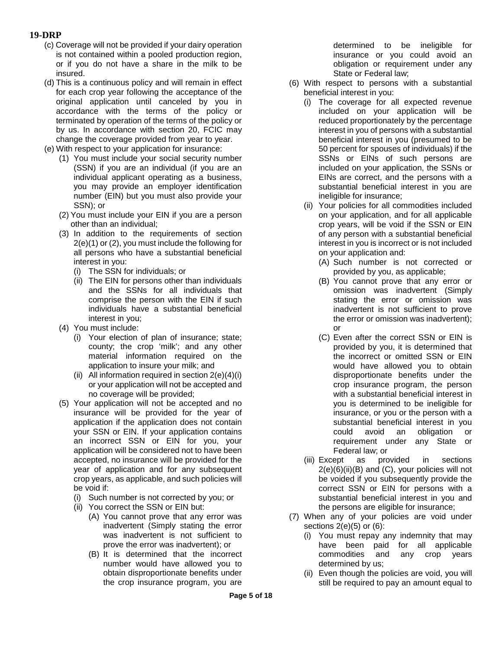- (c) Coverage will not be provided if your dairy operation is not contained within a pooled production region, or if you do not have a share in the milk to be insured.
- (d) This is a continuous policy and will remain in effect for each crop year following the acceptance of the original application until canceled by you in accordance with the terms of the policy or terminated by operation of the terms of the policy or by us. In accordance with section 20, FCIC may change the coverage provided from year to year.
- (e) With respect to your application for insurance:
	- (1) You must include your social security number (SSN) if you are an individual (if you are an individual applicant operating as a business, you may provide an employer identification number (EIN) but you must also provide your SSN); or
	- (2) You must include your EIN if you are a person other than an individual;
	- (3) In addition to the requirements of section 2(e)(1) or (2), you must include the following for all persons who have a substantial beneficial interest in you:
		- (i) The SSN for individuals; or
		- (ii) The EIN for persons other than individuals and the SSNs for all individuals that comprise the person with the EIN if such individuals have a substantial beneficial interest in you;
	- (4) You must include:
		- (i) Your election of plan of insurance; state; county; the crop 'milk'; and any other material information required on the application to insure your milk; and
		- (ii) All information required in section 2(e)(4)(i) or your application will not be accepted and no coverage will be provided;
	- (5) Your application will not be accepted and no insurance will be provided for the year of application if the application does not contain your SSN or EIN. If your application contains an incorrect SSN or EIN for you, your application will be considered not to have been accepted, no insurance will be provided for the year of application and for any subsequent crop years, as applicable, and such policies will be void if:
		- (i) Such number is not corrected by you; or
		- (ii) You correct the SSN or EIN but:
			- (A) You cannot prove that any error was inadvertent (Simply stating the error was inadvertent is not sufficient to prove the error was inadvertent); or
			- (B) It is determined that the incorrect number would have allowed you to obtain disproportionate benefits under the crop insurance program, you are

determined to be ineligible for insurance or you could avoid an obligation or requirement under any State or Federal law;

- (6) With respect to persons with a substantial beneficial interest in you:
	- (i) The coverage for all expected revenue included on your application will be reduced proportionately by the percentage interest in you of persons with a substantial beneficial interest in you (presumed to be 50 percent for spouses of individuals) if the SSNs or EINs of such persons are included on your application, the SSNs or EINs are correct, and the persons with a substantial beneficial interest in you are ineligible for insurance;
	- (ii) Your policies for all commodities included on your application, and for all applicable crop years, will be void if the SSN or EIN of any person with a substantial beneficial interest in you is incorrect or is not included on your application and:
		- (A) Such number is not corrected or provided by you, as applicable;
		- (B) You cannot prove that any error or omission was inadvertent (Simply stating the error or omission was inadvertent is not sufficient to prove the error or omission was inadvertent); or
		- (C) Even after the correct SSN or EIN is provided by you, it is determined that the incorrect or omitted SSN or EIN would have allowed you to obtain disproportionate benefits under the crop insurance program, the person with a substantial beneficial interest in you is determined to be ineligible for insurance, or you or the person with a substantial beneficial interest in you could avoid an obligation or requirement under any State or Federal law; or
	- (iii) Except as provided in sections  $2(e)(6)(ii)(B)$  and  $(C)$ , your policies will not be voided if you subsequently provide the correct SSN or EIN for persons with a substantial beneficial interest in you and the persons are eligible for insurance;
- (7) When any of your policies are void under sections  $2(e)(5)$  or  $(6)$ :
	- (i) You must repay any indemnity that may have been paid for all applicable commodities and any crop years determined by us;
	- (ii) Even though the policies are void, you will still be required to pay an amount equal to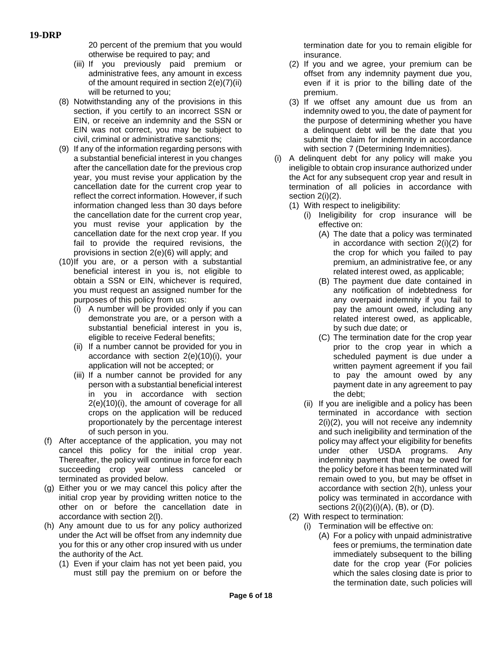20 percent of the premium that you would otherwise be required to pay; and

- (iii) If you previously paid premium or administrative fees, any amount in excess of the amount required in section 2(e)(7)(ii) will be returned to you;
- (8) Notwithstanding any of the provisions in this section, if you certify to an incorrect SSN or EIN, or receive an indemnity and the SSN or EIN was not correct, you may be subject to civil, criminal or administrative sanctions;
- (9) If any of the information regarding persons with a substantial beneficial interest in you changes after the cancellation date for the previous crop year, you must revise your application by the cancellation date for the current crop year to reflect the correct information. However, if such information changed less than 30 days before the cancellation date for the current crop year, you must revise your application by the cancellation date for the next crop year. If you fail to provide the required revisions, the provisions in section 2(e)(6) will apply; and
- (10)If you are, or a person with a substantial beneficial interest in you is, not eligible to obtain a SSN or EIN, whichever is required, you must request an assigned number for the purposes of this policy from us:
	- (i) A number will be provided only if you can demonstrate you are, or a person with a substantial beneficial interest in you is, eligible to receive Federal benefits;
	- (ii) If a number cannot be provided for you in accordance with section 2(e)(10)(i), your application will not be accepted; or
	- (iii) If a number cannot be provided for any person with a substantial beneficial interest in you in accordance with section 2(e)(10)(i), the amount of coverage for all crops on the application will be reduced proportionately by the percentage interest of such person in you.
- (f) After acceptance of the application, you may not cancel this policy for the initial crop year. Thereafter, the policy will continue in force for each succeeding crop year unless canceled or terminated as provided below.
- (g) Either you or we may cancel this policy after the initial crop year by providing written notice to the other on or before the cancellation date in accordance with section 2(l).
- (h) Any amount due to us for any policy authorized under the Act will be offset from any indemnity due you for this or any other crop insured with us under the authority of the Act.
	- (1) Even if your claim has not yet been paid, you must still pay the premium on or before the

termination date for you to remain eligible for insurance.

- (2) If you and we agree, your premium can be offset from any indemnity payment due you, even if it is prior to the billing date of the premium.
- (3) If we offset any amount due us from an indemnity owed to you, the date of payment for the purpose of determining whether you have a delinquent debt will be the date that you submit the claim for indemnity in accordance with section 7 (Determining Indemnities).
- (i) A delinquent debt for any policy will make you ineligible to obtain crop insurance authorized under the Act for any subsequent crop year and result in termination of all policies in accordance with section 2(i)(2).
	- (1) With respect to ineligibility:
		- (i) Ineligibility for crop insurance will be effective on:
			- (A) The date that a policy was terminated in accordance with section 2(i)(2) for the crop for which you failed to pay premium, an administrative fee, or any related interest owed, as applicable;
			- (B) The payment due date contained in any notification of indebtedness for any overpaid indemnity if you fail to pay the amount owed, including any related interest owed, as applicable, by such due date; or
			- (C) The termination date for the crop year prior to the crop year in which a scheduled payment is due under a written payment agreement if you fail to pay the amount owed by any payment date in any agreement to pay the debt;
		- (ii) If you are ineligible and a policy has been terminated in accordance with section 2(i)(2), you will not receive any indemnity and such ineligibility and termination of the policy may affect your eligibility for benefits under other USDA programs. Any indemnity payment that may be owed for the policy before it has been terminated will remain owed to you, but may be offset in accordance with section 2(h), unless your policy was terminated in accordance with sections  $2(i)(2)(i)(A)$ ,  $(B)$ , or  $(D)$ .
	- (2) With respect to termination:
		- (i) Termination will be effective on:
			- (A) For a policy with unpaid administrative fees or premiums, the termination date immediately subsequent to the billing date for the crop year (For policies which the sales closing date is prior to the termination date, such policies will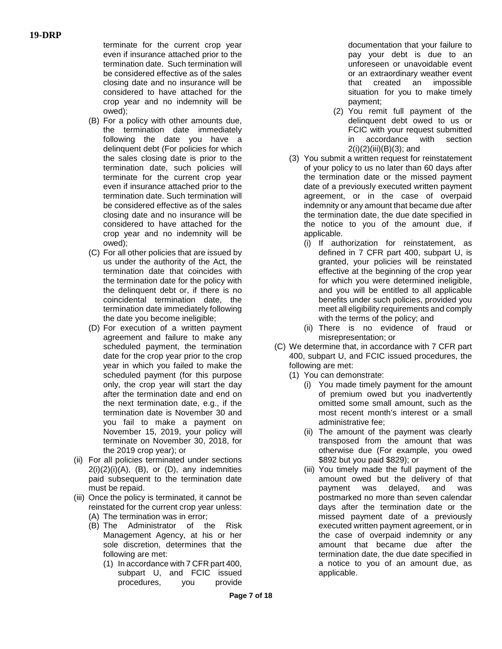terminate for the current crop year even if insurance attached prior to the termination date. Such termination will be considered effective as of the sales closing date and no insurance will be considered to have attached for the crop year and no indemnity will be owed);

- (B) For a policy with other amounts due, the termination date immediately following the date you have a delinquent debt (For policies for which the sales closing date is prior to the termination date, such policies will terminate for the current crop year even if insurance attached prior to the termination date. Such termination will be considered effective as of the sales closing date and no insurance will be considered to have attached for the crop year and no indemnity will be owed);
- (C) For all other policies that are issued by us under the authority of the Act, the termination date that coincides with the termination date for the policy with the delinquent debt or, if there is no coincidental termination date, the termination date immediately following the date you become ineligible;
- (D) For execution of a written payment agreement and failure to make any scheduled payment, the termination date for the crop year prior to the crop year in which you failed to make the scheduled payment (for this purpose only, the crop year will start the day after the termination date and end on the next termination date, e.g., if the termination date is November 30 and you fail to make a payment on November 15, 2019, your policy will terminate on November 30, 2018, for the 2019 crop year); or
- (ii) For all policies terminated under sections  $2(i)(2)(i)(A)$ ,  $(B)$ , or  $(D)$ , any indemnities paid subsequent to the termination date must be repaid.
- (iii) Once the policy is terminated, it cannot be reinstated for the current crop year unless:
	- (A) The termination was in error;
	- (B) The Administrator of the Risk Management Agency, at his or her sole discretion, determines that the following are met:
		- (1) In accordance with 7 CFR part 400, subpart U, and FCIC issued procedures, you provide

documentation that your failure to pay your debt is due to an unforeseen or unavoidable event or an extraordinary weather event that created an impossible situation for you to make timely payment;

- (2) You remit full payment of the delinquent debt owed to us or FCIC with your request submitted<br>in accordance with section in accordance  $2(i)(2)(iii)(B)(3);$  and
- (3) You submit a written request for reinstatement of your policy to us no later than 60 days after the termination date or the missed payment date of a previously executed written payment agreement, or in the case of overpaid indemnity or any amount that became due after the termination date, the due date specified in the notice to you of the amount due, if applicable.
	- (i) If authorization for reinstatement, as defined in 7 CFR part 400, subpart U, is granted, your policies will be reinstated effective at the beginning of the crop year for which you were determined ineligible, and you will be entitled to all applicable benefits under such policies, provided you meet all eligibility requirements and comply with the terms of the policy; and
	- (ii) There is no evidence of fraud or misrepresentation; or
- (C) We determine that, in accordance with 7 CFR part 400, subpart U, and FCIC issued procedures, the following are met:
	- (1) You can demonstrate:
		- (i) You made timely payment for the amount of premium owed but you inadvertently omitted some small amount, such as the most recent month's interest or a small administrative fee;
		- (ii) The amount of the payment was clearly transposed from the amount that was otherwise due (For example, you owed \$892 but you paid \$829); or
		- (iii) You timely made the full payment of the amount owed but the delivery of that payment was delayed, and was postmarked no more than seven calendar days after the termination date or the missed payment date of a previously executed written payment agreement, or in the case of overpaid indemnity or any amount that became due after the termination date, the due date specified in a notice to you of an amount due, as applicable.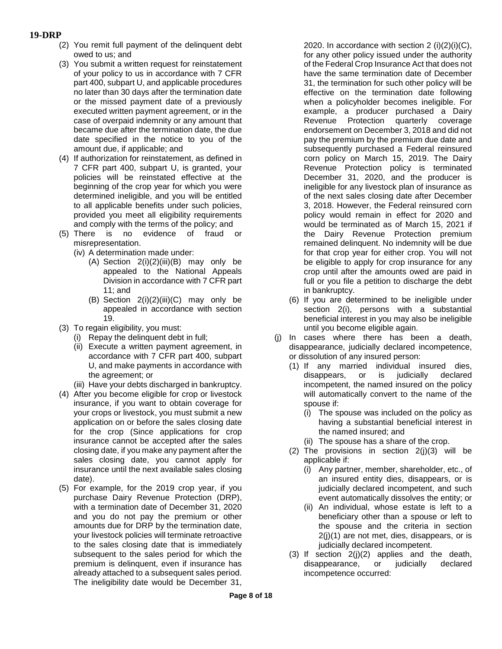- (2) You remit full payment of the delinquent debt owed to us; and
- (3) You submit a written request for reinstatement of your policy to us in accordance with 7 CFR part 400, subpart U, and applicable procedures no later than 30 days after the termination date or the missed payment date of a previously executed written payment agreement, or in the case of overpaid indemnity or any amount that became due after the termination date, the due date specified in the notice to you of the amount due, if applicable; and
- (4) If authorization for reinstatement, as defined in 7 CFR part 400, subpart U, is granted, your policies will be reinstated effective at the beginning of the crop year for which you were determined ineligible, and you will be entitled to all applicable benefits under such policies, provided you meet all eligibility requirements and comply with the terms of the policy; and
- (5) There is no evidence of fraud or misrepresentation.
	- (iv) A determination made under:
		- $(A)$  Section  $2(i)(2)(iii)(B)$  may only be appealed to the National Appeals Division in accordance with 7 CFR part 11; and
		- (B) Section  $2(i)(2)(iii)(C)$  may only be appealed in accordance with section 19.
- (3) To regain eligibility, you must:
	- (i) Repay the delinquent debt in full;
	- (ii) Execute a written payment agreement, in accordance with 7 CFR part 400, subpart U, and make payments in accordance with the agreement; or
	- (iii) Have your debts discharged in bankruptcy.
- (4) After you become eligible for crop or livestock insurance, if you want to obtain coverage for your crops or livestock, you must submit a new application on or before the sales closing date for the crop (Since applications for crop insurance cannot be accepted after the sales closing date, if you make any payment after the sales closing date, you cannot apply for insurance until the next available sales closing date).
- (5) For example, for the 2019 crop year, if you purchase Dairy Revenue Protection (DRP), with a termination date of December 31, 2020 and you do not pay the premium or other amounts due for DRP by the termination date, your livestock policies will terminate retroactive to the sales closing date that is immediately subsequent to the sales period for which the premium is delinquent, even if insurance has already attached to a subsequent sales period. The ineligibility date would be December 31,

2020. In accordance with section  $2(i)(2)(i)(C)$ , for any other policy issued under the authority of the Federal Crop Insurance Act that does not have the same termination date of December 31, the termination for such other policy will be effective on the termination date following when a policyholder becomes ineligible. For example, a producer purchased a Dairy Revenue Protection quarterly coverage endorsement on December 3, 2018 and did not pay the premium by the premium due date and subsequently purchased a Federal reinsured corn policy on March 15, 2019. The Dairy Revenue Protection policy is terminated December 31, 2020, and the producer is ineligible for any livestock plan of insurance as of the next sales closing date after December 3, 2018. However, the Federal reinsured corn policy would remain in effect for 2020 and would be terminated as of March 15, 2021 if the Dairy Revenue Protection premium remained delinquent. No indemnity will be due for that crop year for either crop. You will not be eligible to apply for crop insurance for any crop until after the amounts owed are paid in full or you file a petition to discharge the debt in bankruptcy.

- (6) If you are determined to be ineligible under section 2(i), persons with a substantial beneficial interest in you may also be ineligible until you become eligible again.
- (j) In cases where there has been a death, disappearance, judicially declared incompetence, or dissolution of any insured person:
	- (1) If any married individual insured dies, disappears, or is judicially declared incompetent, the named insured on the policy will automatically convert to the name of the spouse if:
		- (i) The spouse was included on the policy as having a substantial beneficial interest in the named insured; and
		- (ii) The spouse has a share of the crop.
	- (2) The provisions in section  $2(j)(3)$  will be applicable if:
		- (i) Any partner, member, shareholder, etc., of an insured entity dies, disappears, or is judicially declared incompetent, and such event automatically dissolves the entity; or
		- (ii) An individual, whose estate is left to a beneficiary other than a spouse or left to the spouse and the criteria in section 2(j)(1) are not met, dies, disappears, or is judicially declared incompetent.
	- (3) If section  $2(j)(2)$  applies and the death, disappearance, or judicially declared incompetence occurred: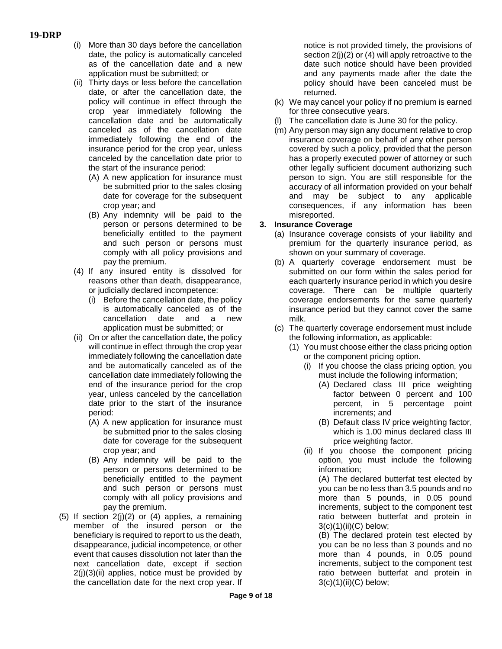- (i) More than 30 days before the cancellation date, the policy is automatically canceled as of the cancellation date and a new application must be submitted; or
- (ii) Thirty days or less before the cancellation date, or after the cancellation date, the policy will continue in effect through the crop year immediately following the cancellation date and be automatically canceled as of the cancellation date immediately following the end of the insurance period for the crop year, unless canceled by the cancellation date prior to the start of the insurance period:
	- (A) A new application for insurance must be submitted prior to the sales closing date for coverage for the subsequent crop year; and
	- (B) Any indemnity will be paid to the person or persons determined to be beneficially entitled to the payment and such person or persons must comply with all policy provisions and pay the premium.
- (4) If any insured entity is dissolved for reasons other than death, disappearance, or judicially declared incompetence:
	- (i) Before the cancellation date, the policy is automatically canceled as of the cancellation date and a new application must be submitted; or
- (ii) On or after the cancellation date, the policy will continue in effect through the crop year immediately following the cancellation date and be automatically canceled as of the cancellation date immediately following the end of the insurance period for the crop year, unless canceled by the cancellation date prior to the start of the insurance period:
	- (A) A new application for insurance must be submitted prior to the sales closing date for coverage for the subsequent crop year; and
	- (B) Any indemnity will be paid to the person or persons determined to be beneficially entitled to the payment and such person or persons must comply with all policy provisions and pay the premium.
- (5) If section 2(j)(2) or (4) applies, a remaining member of the insured person or the beneficiary is required to report to us the death, disappearance, judicial incompetence, or other event that causes dissolution not later than the next cancellation date, except if section  $2(i)(3)(ii)$  applies, notice must be provided by the cancellation date for the next crop year. If

notice is not provided timely, the provisions of section 2(j)(2) or (4) will apply retroactive to the date such notice should have been provided and any payments made after the date the policy should have been canceled must be returned.

- (k) We may cancel your policy if no premium is earned for three consecutive years.
- (l) The cancellation date is June 30 for the policy.
- (m) Any person may sign any document relative to crop insurance coverage on behalf of any other person covered by such a policy, provided that the person has a properly executed power of attorney or such other legally sufficient document authorizing such person to sign. You are still responsible for the accuracy of all information provided on your behalf and may be subject to any applicable consequences, if any information has been misreported.

## **3. Insurance Coverage**

- (a) Insurance coverage consists of your liability and premium for the quarterly insurance period, as shown on your summary of coverage.
- (b) A quarterly coverage endorsement must be submitted on our form within the sales period for each quarterly insurance period in which you desire coverage. There can be multiple quarterly coverage endorsements for the same quarterly insurance period but they cannot cover the same milk.
- (c) The quarterly coverage endorsement must include the following information, as applicable:
	- (1) You must choose either the class pricing option or the component pricing option.
		- (i) If you choose the class pricing option, you must include the following information;
			- (A) Declared class III price weighting factor between 0 percent and 100 percent, in 5 percentage point increments; and
			- (B) Default class IV price weighting factor, which is 1.00 minus declared class III price weighting factor.
		- (ii) If you choose the component pricing option, you must include the following information;

(A) The declared butterfat test elected by you can be no less than 3.5 pounds and no more than 5 pounds, in 0.05 pound increments, subject to the component test ratio between butterfat and protein in  $3(c)(1)(ii)(C)$  below;

(B) The declared protein test elected by you can be no less than 3 pounds and no more than 4 pounds, in 0.05 pound increments, subject to the component test ratio between butterfat and protein in  $3(c)(1)(ii)(C)$  below;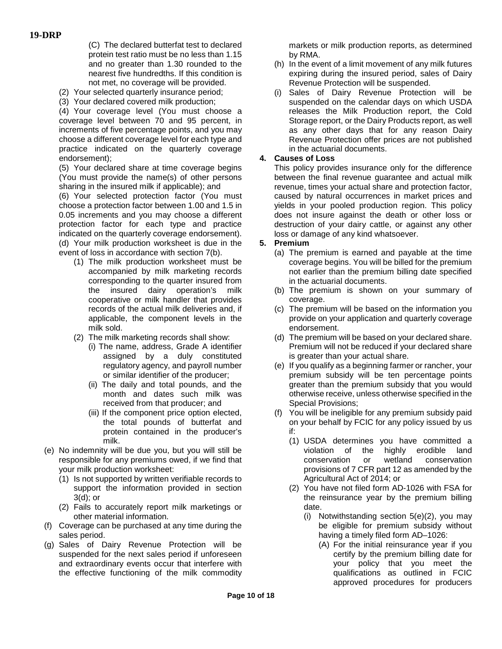(C) The declared butterfat test to declared protein test ratio must be no less than 1.15 and no greater than 1.30 rounded to the nearest five hundredths. If this condition is not met, no coverage will be provided.

- (2) Your selected quarterly insurance period;
- (3) Your declared covered milk production;

(4) Your coverage level (You must choose a coverage level between 70 and 95 percent, in increments of five percentage points, and you may choose a different coverage level for each type and practice indicated on the quarterly coverage endorsement);

(5) Your declared share at time coverage begins (You must provide the name(s) of other persons sharing in the insured milk if applicable); and

(6) Your selected protection factor (You must choose a protection factor between 1.00 and 1.5 in 0.05 increments and you may choose a different protection factor for each type and practice indicated on the quarterly coverage endorsement). (d) Your milk production worksheet is due in the event of loss in accordance with section 7(b).

- (1) The milk production worksheet must be accompanied by milk marketing records corresponding to the quarter insured from the insured dairy operation's milk cooperative or milk handler that provides records of the actual milk deliveries and, if applicable, the component levels in the milk sold.
- (2) The milk marketing records shall show:
	- (i) The name, address, Grade A identifier assigned by a duly constituted regulatory agency, and payroll number or similar identifier of the producer;
	- (ii) The daily and total pounds, and the month and dates such milk was received from that producer; and
	- (iii) If the component price option elected, the total pounds of butterfat and protein contained in the producer's milk.
- (e) No indemnity will be due you, but you will still be responsible for any premiums owed, if we find that your milk production worksheet:
	- (1) Is not supported by written verifiable records to support the information provided in section 3(d); or
	- (2) Fails to accurately report milk marketings or other material information.
- (f) Coverage can be purchased at any time during the sales period.
- (g) Sales of Dairy Revenue Protection will be suspended for the next sales period if unforeseen and extraordinary events occur that interfere with the effective functioning of the milk commodity

markets or milk production reports, as determined by RMA.

- (h) In the event of a limit movement of any milk futures expiring during the insured period, sales of Dairy Revenue Protection will be suspended.
- (i) Sales of Dairy Revenue Protection will be suspended on the calendar days on which USDA releases the Milk Production report, the Cold Storage report, or the Dairy Products report, as well as any other days that for any reason Dairy Revenue Protection offer prices are not published in the actuarial documents.

## **4. Causes of Loss**

This policy provides insurance only for the difference between the final revenue guarantee and actual milk revenue, times your actual share and protection factor, caused by natural occurrences in market prices and yields in your pooled production region. This policy does not insure against the death or other loss or destruction of your dairy cattle, or against any other loss or damage of any kind whatsoever.

#### **5. Premium**

- (a) The premium is earned and payable at the time coverage begins. You will be billed for the premium not earlier than the premium billing date specified in the actuarial documents.
- (b) The premium is shown on your summary of coverage.
- (c) The premium will be based on the information you provide on your application and quarterly coverage endorsement.
- (d) The premium will be based on your declared share. Premium will not be reduced if your declared share is greater than your actual share.
- (e) If you qualify as a beginning farmer or rancher, your premium subsidy will be ten percentage points greater than the premium subsidy that you would otherwise receive, unless otherwise specified in the Special Provisions;
- (f) You will be ineligible for any premium subsidy paid on your behalf by FCIC for any policy issued by us if:
	- (1) USDA determines you have committed a violation of the highly erodible land conservation or wetland conservation provisions of 7 CFR part 12 as amended by the Agricultural Act of 2014; or
	- (2) You have not filed form AD-1026 with FSA for the reinsurance year by the premium billing date.
		- (i) Notwithstanding section 5(e)(2), you may be eligible for premium subsidy without having a timely filed form AD–1026:
			- (A) For the initial reinsurance year if you certify by the premium billing date for your policy that you meet the qualifications as outlined in FCIC approved procedures for producers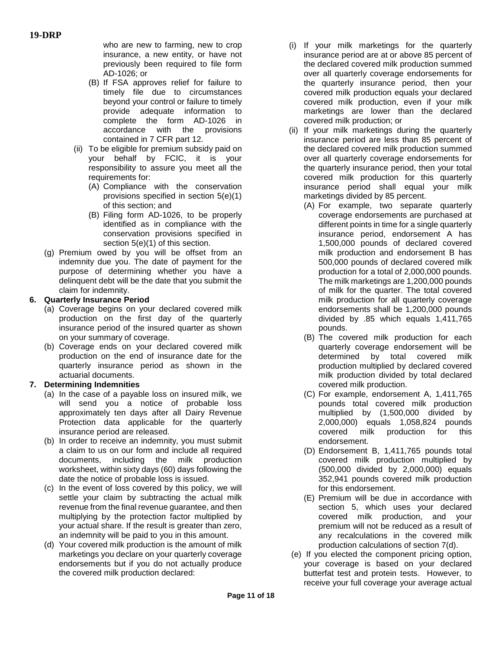who are new to farming, new to crop insurance, a new entity, or have not previously been required to file form AD-1026; or

- (B) If FSA approves relief for failure to timely file due to circumstances beyond your control or failure to timely provide adequate information to complete the form AD-1026 in accordance with the provisions contained in 7 CFR part 12.
- (ii) To be eligible for premium subsidy paid on your behalf by FCIC, it is your responsibility to assure you meet all the requirements for:
	- (A) Compliance with the conservation provisions specified in section 5(e)(1) of this section; and
	- (B) Filing form AD-1026, to be properly identified as in compliance with the conservation provisions specified in section 5(e)(1) of this section.
- (g) Premium owed by you will be offset from an indemnity due you. The date of payment for the purpose of determining whether you have a delinquent debt will be the date that you submit the claim for indemnity.

## **6. Quarterly Insurance Period**

- (a) Coverage begins on your declared covered milk production on the first day of the quarterly insurance period of the insured quarter as shown on your summary of coverage.
- (b) Coverage ends on your declared covered milk production on the end of insurance date for the quarterly insurance period as shown in the actuarial documents.

## **7. Determining Indemnities**

- (a) In the case of a payable loss on insured milk, we will send you a notice of probable loss approximately ten days after all Dairy Revenue Protection data applicable for the quarterly insurance period are released.
- (b) In order to receive an indemnity, you must submit a claim to us on our form and include all required documents, including the milk production worksheet, within sixty days (60) days following the date the notice of probable loss is issued.
- (c) In the event of loss covered by this policy, we will settle your claim by subtracting the actual milk revenue from the final revenue guarantee, and then multiplying by the protection factor multiplied by your actual share. If the result is greater than zero, an indemnity will be paid to you in this amount.
- (d) Your covered milk production is the amount of milk marketings you declare on your quarterly coverage endorsements but if you do not actually produce the covered milk production declared:
- (i) If your milk marketings for the quarterly insurance period are at or above 85 percent of the declared covered milk production summed over all quarterly coverage endorsements for the quarterly insurance period, then your covered milk production equals your declared covered milk production, even if your milk marketings are lower than the declared covered milk production; or
- (ii) If your milk marketings during the quarterly insurance period are less than 85 percent of the declared covered milk production summed over all quarterly coverage endorsements for the quarterly insurance period, then your total covered milk production for this quarterly insurance period shall equal your milk marketings divided by 85 percent.
	- (A) For example, two separate quarterly coverage endorsements are purchased at different points in time for a single quarterly insurance period, endorsement A has 1,500,000 pounds of declared covered milk production and endorsement B has 500,000 pounds of declared covered milk production for a total of 2,000,000 pounds. The milk marketings are 1,200,000 pounds of milk for the quarter. The total covered milk production for all quarterly coverage endorsements shall be 1,200,000 pounds divided by .85 which equals 1,411,765 pounds.
	- (B) The covered milk production for each quarterly coverage endorsement will be determined by total covered milk production multiplied by declared covered milk production divided by total declared covered milk production.
	- (C) For example, endorsement A, 1,411,765 pounds total covered milk production multiplied by (1,500,000 divided by 2,000,000) equals 1,058,824 pounds covered milk production for this endorsement.
	- (D) Endorsement B, 1,411,765 pounds total covered milk production multiplied by (500,000 divided by 2,000,000) equals 352,941 pounds covered milk production for this endorsement.
	- (E) Premium will be due in accordance with section 5, which uses your declared covered milk production, and your premium will not be reduced as a result of any recalculations in the covered milk production calculations of section 7(d).
- (e) If you elected the component pricing option, your coverage is based on your declared butterfat test and protein tests. However, to receive your full coverage your average actual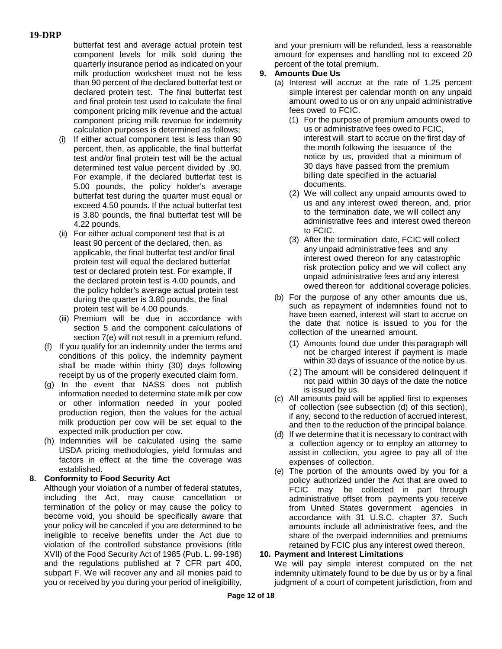butterfat test and average actual protein test component levels for milk sold during the quarterly insurance period as indicated on your milk production worksheet must not be less than 90 percent of the declared butterfat test or declared protein test. The final butterfat test and final protein test used to calculate the final component pricing milk revenue and the actual component pricing milk revenue for indemnity calculation purposes is determined as follows;

- (i) If either actual component test is less than 90 percent, then, as applicable, the final butterfat test and/or final protein test will be the actual determined test value percent divided by .90. For example, if the declared butterfat test is 5.00 pounds, the policy holder's average butterfat test during the quarter must equal or exceed 4.50 pounds. If the actual butterfat test is 3.80 pounds, the final butterfat test will be 4.22 pounds.
- (ii) For either actual component test that is at least 90 percent of the declared, then, as applicable, the final butterfat test and/or final protein test will equal the declared butterfat test or declared protein test. For example, if the declared protein test is 4.00 pounds, and the policy holder's average actual protein test during the quarter is 3.80 pounds, the final protein test will be 4.00 pounds.
- (iii) Premium will be due in accordance with section 5 and the component calculations of section 7(e) will not result in a premium refund.
- (f) If you qualify for an indemnity under the terms and conditions of this policy, the indemnity payment shall be made within thirty (30) days following receipt by us of the properly executed claim form.
- (g) In the event that NASS does not publish information needed to determine state milk per cow or other information needed in your pooled production region, then the values for the actual milk production per cow will be set equal to the expected milk production per cow.
- (h) Indemnities will be calculated using the same USDA pricing methodologies, yield formulas and factors in effect at the time the coverage was established.

## **8. Conformity to Food Security Act**

Although your violation of a number of federal statutes, including the Act, may cause cancellation or termination of the policy or may cause the policy to become void, you should be specifically aware that your policy will be canceled if you are determined to be ineligible to receive benefits under the Act due to violation of the controlled substance provisions (title XVII) of the Food Security Act of 1985 (Pub. L. 99-198) and the regulations published at 7 CFR part 400, subpart F. We will recover any and all monies paid to you or received by you during your period of ineligibility,

and your premium will be refunded, less a reasonable amount for expenses and handling not to exceed 20 percent of the total premium.

# **9. Amounts Due Us**

- (a) Interest will accrue at the rate of 1.25 percent simple interest per calendar month on any unpaid amount owed to us or on any unpaid administrative fees owed to FCIC.
	- (1) For the purpose of premium amounts owed to us or administrative fees owed to FCIC, interest will start to accrue on the first day of the month following the issuance of the notice by us, provided that a minimum of 30 days have passed from the premium billing date specified in the actuarial documents.
	- (2) We will collect any unpaid amounts owed to us and any interest owed thereon, and, prior to the termination date, we will collect any administrative fees and interest owed thereon to FCIC.
	- (3) After the termination date, FCIC will collect any unpaid administrative fees and any interest owed thereon for any catastrophic risk protection policy and we will collect any unpaid administrative fees and any interest owed thereon for additional coverage policies.
- (b) For the purpose of any other amounts due us, such as repayment of indemnities found not to have been earned, interest will start to accrue on the date that notice is issued to you for the collection of the unearned amount.
	- (1) Amounts found due under this paragraph will not be charged interest if payment is made within 30 days of issuance of the notice by us.
	- (2) The amount will be considered delinquent if not paid within 30 days of the date the notice is issued by us.
- (c) All amounts paid will be applied first to expenses of collection (see subsection (d) of this section), if any, second to the reduction of accrued interest, and then to the reduction of the principal balance.
- (d) If we determine that it is necessary to contract with a collection agency or to employ an attorney to assist in collection, you agree to pay all of the expenses of collection.
- (e) The portion of the amounts owed by you for a policy authorized under the Act that are owed to FCIC may be collected in part through administrative offset from payments you receive from United States government agencies in accordance with 31 U.S.C. chapter 37. Such amounts include all administrative fees, and the share of the overpaid indemnities and premiums retained by FCIC plus any interest owed thereon.

## **10. Payment and Interest Limitations**

We will pay simple interest computed on the net indemnity ultimately found to be due by us or by a final judgment of a court of competent jurisdiction, from and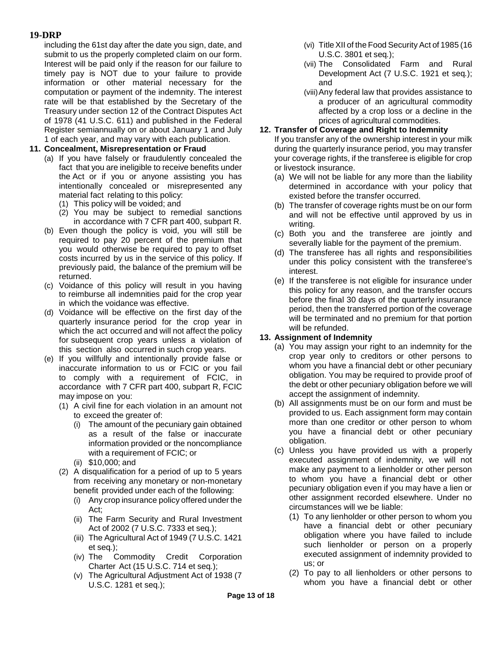including the 61st day after the date you sign, date, and submit to us the properly completed claim on our form. Interest will be paid only if the reason for our failure to timely pay is NOT due to your failure to provide information or other material necessary for the computation or payment of the indemnity. The interest rate will be that established by the Secretary of the Treasury under section 12 of the Contract Disputes Act of 1978 (41 U.S.C. 611) and published in the Federal Register semiannually on or about January 1 and July 1 of each year, and may vary with each publication.

### **11. Concealment, Misrepresentation or Fraud**

- (a) If you have falsely or fraudulently concealed the fact that you are ineligible to receive benefits under the Act or if you or anyone assisting you has intentionally concealed or misrepresented any material fact relating to this policy:
	- (1) This policy will be voided; and
	- (2) You may be subject to remedial sanctions in accordance with 7 CFR part 400, subpart R.
- (b) Even though the policy is void, you will still be required to pay 20 percent of the premium that you would otherwise be required to pay to offset costs incurred by us in the service of this policy. If previously paid, the balance of the premium will be returned.
- (c) Voidance of this policy will result in you having to reimburse all indemnities paid for the crop year in which the voidance was effective.
- (d) Voidance will be effective on the first day of the quarterly insurance period for the crop year in which the act occurred and will not affect the policy for subsequent crop years unless a violation of this section also occurred in such crop years.
- (e) If you willfully and intentionally provide false or inaccurate information to us or FCIC or you fail to comply with a requirement of FCIC, in accordance with 7 CFR part 400, subpart R, FCIC may impose on you:
	- (1) A civil fine for each violation in an amount not to exceed the greater of:
		- (i) The amount of the pecuniary gain obtained as a result of the false or inaccurate information provided or the noncompliance with a requirement of FCIC; or
		- (ii) \$10,000; and
	- (2) A disqualification for a period of up to 5 years from receiving any monetary or non-monetary benefit provided under each of the following:
		- (i) Any crop insurance policy offered under the Act;
		- (ii) The Farm Security and Rural Investment Act of 2002 (7 U.S.C. 7333 et seq*.*);
		- (iii) The Agricultural Act of 1949 (7 U.S.C. 1421 et seq*.*);
		- (iv) The Commodity Credit Corporation Charter Act (15 U.S.C. 714 et seq*.*);
		- (v) The Agricultural Adjustment Act of 1938 (7 U.S.C. 1281 et seq.);
- (vi) Title XII of the Food Security Act of 1985 (16 U.S.C. 3801 et seq*.*);
- (vii) The Consolidated Farm and Rural Development Act (7 U.S.C. 1921 et seq*.*); and
- (viii)Any federal law that provides assistance to a producer of an agricultural commodity affected by a crop loss or a decline in the prices of agricultural commodities.

#### **12. Transfer of Coverage and Right to Indemnity**

If you transfer any of the ownership interest in your milk during the quarterly insurance period, you may transfer your coverage rights, if the transferee is eligible for crop or livestock insurance.

- (a) We will not be liable for any more than the liability determined in accordance with your policy that existed before the transfer occurred.
- (b) The transfer of coverage rights must be on our form and will not be effective until approved by us in writing.
- (c) Both you and the transferee are jointly and severally liable for the payment of the premium.
- (d) The transferee has all rights and responsibilities under this policy consistent with the transferee's interest.
- (e) If the transferee is not eligible for insurance under this policy for any reason, and the transfer occurs before the final 30 days of the quarterly insurance period, then the transferred portion of the coverage will be terminated and no premium for that portion will be refunded.

#### **13. Assignment of Indemnity**

- (a) You may assign your right to an indemnity for the crop year only to creditors or other persons to whom you have a financial debt or other pecuniary obligation. You may be required to provide proof of the debt or other pecuniary obligation before we will accept the assignment of indemnity.
- (b) All assignments must be on our form and must be provided to us. Each assignment form may contain more than one creditor or other person to whom you have a financial debt or other pecuniary obligation.
- (c) Unless you have provided us with a properly executed assignment of indemnity, we will not make any payment to a lienholder or other person to whom you have a financial debt or other pecuniary obligation even if you may have a lien or other assignment recorded elsewhere. Under no circumstances will we be liable:
	- (1) To any lienholder or other person to whom you have a financial debt or other pecuniary obligation where you have failed to include such lienholder or person on a properly executed assignment of indemnity provided to us; or
	- (2) To pay to all lienholders or other persons to whom you have a financial debt or other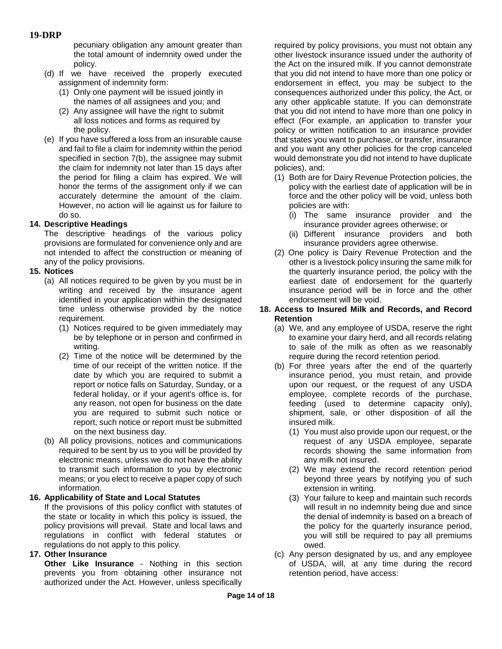pecuniary obligation any amount greater than the total amount of indemnity owed under the policy.

- (d) If we have received the properly executed assignment of indemnity form:
	- (1) Only one payment will be issued jointly in the names of all assignees and you; and
	- (2) Any assignee will have the right to submit all loss notices and forms as required by the policy.
- (e) If you have suffered a loss from an insurable cause and fail to file a claim for indemnity within the period specified in section 7(b), the assignee may submit the claim for indemnity not later than 15 days after the period for filing a claim has expired. We will honor the terms of the assignment only if we can accurately determine the amount of the claim. However, no action will lie against us for failure to do so.

### **14. Descriptive Headings**

The descriptive headings of the various policy provisions are formulated for convenience only and are not intended to affect the construction or meaning of any of the policy provisions.

### **15. Notices**

- (a) All notices required to be given by you must be in writing and received by the insurance agent identified in your application within the designated time unless otherwise provided by the notice requirement.
	- (1) Notices required to be given immediately may be by telephone or in person and confirmed in writing.
	- (2) Time of the notice will be determined by the time of our receipt of the written notice. If the date by which you are required to submit a report or notice falls on Saturday, Sunday, or a federal holiday, or if your agent's office is, for any reason, not open for business on the date you are required to submit such notice or report, such notice or report must be submitted on the next business day.
- (b) All policy provisions, notices and communications required to be sent by us to you will be provided by electronic means, unless we do not have the ability to transmit such information to you by electronic means; or you elect to receive a paper copy of such information.

### **16. Applicability of State and Local Statutes**

If the provisions of this policy conflict with statutes of the state or locality in which this policy is issued, the policy provisions will prevail. State and local laws and regulations in conflict with federal statutes or regulations do not apply to this policy.

### **17. Other Insurance**

**Other Like Insurance** - Nothing in this section prevents you from obtaining other insurance not authorized under the Act. However, unless specifically required by policy provisions, you must not obtain any other livestock insurance issued under the authority of the Act on the insured milk. If you cannot demonstrate that you did not intend to have more than one policy or endorsement in effect, you may be subject to the consequences authorized under this policy, the Act, or any other applicable statute. If you can demonstrate that you did not intend to have more than one policy in effect (For example, an application to transfer your policy or written notification to an insurance provider that states you want to purchase, or transfer, insurance and you want any other policies for the crop canceled would demonstrate you did not intend to have duplicate policies), and:

- (1) Both are for Dairy Revenue Protection policies, the policy with the earliest date of application will be in force and the other policy will be void, unless both policies are with:
	- (i) The same insurance provider and the insurance provider agrees otherwise; or
	- (ii) Different insurance providers and both insurance providers agree otherwise.
- (2) One policy is Dairy Revenue Protection and the other is a livestock policy insuring the same milk for the quarterly insurance period, the policy with the earliest date of endorsement for the quarterly insurance period will be in force and the other endorsement will be void.

#### **18. Access to Insured Milk and Records, and Record Retention**

- (a) We, and any employee of USDA, reserve the right to examine your dairy herd, and all records relating to sale of the milk as often as we reasonably require during the record retention period.
- (b) For three years after the end of the quarterly insurance period, you must retain, and provide upon our request, or the request of any USDA employee, complete records of the purchase, feeding (used to determine capacity only), shipment, sale, or other disposition of all the insured milk.
	- (1) You must also provide upon our request, or the request of any USDA employee, separate records showing the same information from any milk not insured.
	- (2) We may extend the record retention period beyond three years by notifying you of such extension in writing.
	- (3) Your failure to keep and maintain such records will result in no indemnity being due and since the denial of indemnity is based on a breach of the policy for the quarterly insurance period, you will still be required to pay all premiums owed.
- (c) Any person designated by us, and any employee of USDA, will, at any time during the record retention period, have access: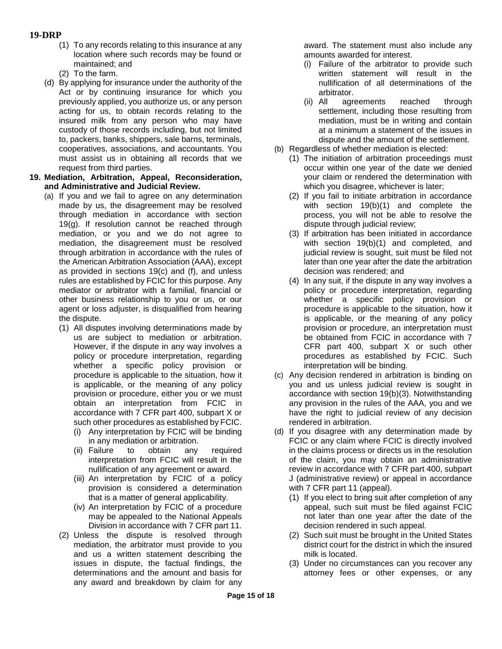- **19-DRP**
	- (1) To any records relating to this insurance at any location where such records may be found or maintained; and
	- (2) To the farm.
	- (d) By applying for insurance under the authority of the Act or by continuing insurance for which you previously applied, you authorize us, or any person acting for us, to obtain records relating to the insured milk from any person who may have custody of those records including, but not limited to, packers, banks, shippers, sale barns, terminals, cooperatives, associations, and accountants. You must assist us in obtaining all records that we request from third parties.
- **19. Mediation, Arbitration, Appeal, Reconsideration, and Administrative and Judicial Review.**
	- (a) If you and we fail to agree on any determination made by us, the disagreement may be resolved through mediation in accordance with section 19(g). If resolution cannot be reached through mediation, or you and we do not agree to mediation, the disagreement must be resolved through arbitration in accordance with the rules of the American Arbitration Association (AAA), except as provided in sections 19(c) and (f), and unless rules are established by FCIC for this purpose. Any mediator or arbitrator with a familial, financial or other business relationship to you or us, or our agent or loss adjuster, is disqualified from hearing the dispute.
		- (1) All disputes involving determinations made by us are subject to mediation or arbitration. However, if the dispute in any way involves a policy or procedure interpretation, regarding whether a specific policy provision or procedure is applicable to the situation, how it is applicable, or the meaning of any policy provision or procedure, either you or we must obtain an interpretation from FCIC in accordance with 7 CFR part 400, subpart X or such other procedures as established by FCIC.
			- (i) Any interpretation by FCIC will be binding in any mediation or arbitration.
			- (ii) Failure to obtain any required interpretation from FCIC will result in the nullification of any agreement or award.
			- (iii) An interpretation by FCIC of a policy provision is considered a determination that is a matter of general applicability.
			- (iv) An interpretation by FCIC of a procedure may be appealed to the National Appeals Division in accordance with 7 CFR part 11.
		- (2) Unless the dispute is resolved through mediation, the arbitrator must provide to you and us a written statement describing the issues in dispute, the factual findings, the determinations and the amount and basis for any award and breakdown by claim for any

award. The statement must also include any amounts awarded for interest.

- (i) Failure of the arbitrator to provide such written statement will result in the nullification of all determinations of the arbitrator.
- (ii) All agreements reached through settlement, including those resulting from mediation, must be in writing and contain at a minimum a statement of the issues in dispute and the amount of the settlement.
- (b) Regardless of whether mediation is elected:
	- (1) The initiation of arbitration proceedings must occur within one year of the date we denied your claim or rendered the determination with which you disagree, whichever is later;
	- (2) If you fail to initiate arbitration in accordance with section 19(b)(1) and complete the process, you will not be able to resolve the dispute through judicial review;
	- (3) If arbitration has been initiated in accordance with section 19(b)(1) and completed, and judicial review is sought, suit must be filed not later than one year after the date the arbitration decision was rendered; and
	- (4) In any suit, if the dispute in any way involves a policy or procedure interpretation, regarding whether a specific policy provision or procedure is applicable to the situation, how it is applicable, or the meaning of any policy provision or procedure, an interpretation must be obtained from FCIC in accordance with 7 CFR part 400, subpart X or such other procedures as established by FCIC. Such interpretation will be binding.
- (c) Any decision rendered in arbitration is binding on you and us unless judicial review is sought in accordance with section 19(b)(3). Notwithstanding any provision in the rules of the AAA, you and we have the right to judicial review of any decision rendered in arbitration.
- (d) If you disagree with any determination made by FCIC or any claim where FCIC is directly involved in the claims process or directs us in the resolution of the claim, you may obtain an administrative review in accordance with 7 CFR part 400, subpart J (administrative review) or appeal in accordance with 7 CFR part 11 (appeal).
	- (1) If you elect to bring suit after completion of any appeal, such suit must be filed against FCIC not later than one year after the date of the decision rendered in such appeal.
	- (2) Such suit must be brought in the United States district court for the district in which the insured milk is located.
	- (3) Under no circumstances can you recover any attorney fees or other expenses, or any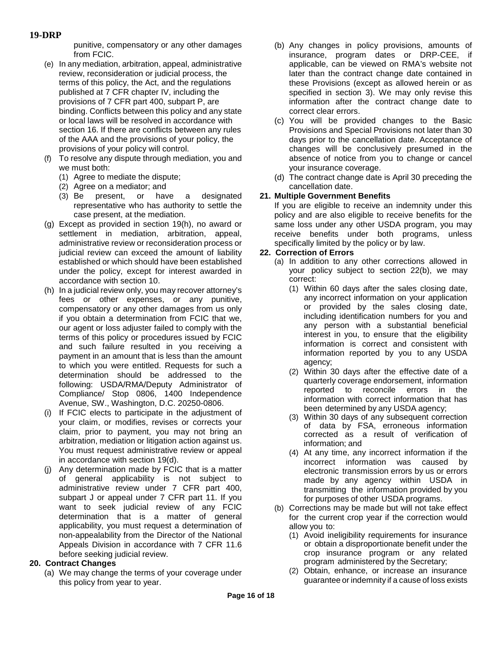punitive, compensatory or any other damages from FCIC.

- (e) In any mediation, arbitration, appeal, administrative review, reconsideration or judicial process, the terms of this policy, the Act, and the regulations published at 7 CFR chapter IV, including the provisions of 7 CFR part 400, subpart P, are binding. Conflicts between this policy and any state or local laws will be resolved in accordance with section 16. If there are conflicts between any rules of the AAA and the provisions of your policy, the provisions of your policy will control.
- (f) To resolve any dispute through mediation, you and we must both:
	- (1) Agree to mediate the dispute;
	- (2) Agree on a mediator; and
	- (3) Be present, or have a designated representative who has authority to settle the case present, at the mediation.
- (g) Except as provided in section 19(h), no award or settlement in mediation, arbitration, appeal, administrative review or reconsideration process or judicial review can exceed the amount of liability established or which should have been established under the policy, except for interest awarded in accordance with section 10.
- (h) In a judicial review only, you may recover attorney's fees or other expenses, or any punitive, compensatory or any other damages from us only if you obtain a determination from FCIC that we, our agent or loss adjuster failed to comply with the terms of this policy or procedures issued by FCIC and such failure resulted in you receiving a payment in an amount that is less than the amount to which you were entitled. Requests for such a determination should be addressed to the following: USDA/RMA/Deputy Administrator of Compliance/ Stop 0806, 1400 Independence Avenue, SW., Washington, D.C. 20250-0806.
- (i) If FCIC elects to participate in the adjustment of your claim, or modifies, revises or corrects your claim, prior to payment, you may not bring an arbitration, mediation or litigation action against us. You must request administrative review or appeal in accordance with section 19(d).
- (j) Any determination made by FCIC that is a matter of general applicability is not subject to administrative review under 7 CFR part 400, subpart J or appeal under 7 CFR part 11. If you want to seek judicial review of any FCIC determination that is a matter of general applicability, you must request a determination of non-appealability from the Director of the National Appeals Division in accordance with 7 CFR 11.6 before seeking judicial review.

### **20. Contract Changes**

(a) We may change the terms of your coverage under this policy from year to year.

- (b) Any changes in policy provisions, amounts of insurance, program dates or DRP-CEE, if applicable, can be viewed on RMA's website not later than the contract change date contained in these Provisions (except as allowed herein or as specified in section 3). We may only revise this information after the contract change date to correct clear errors.
- (c) You will be provided changes to the Basic Provisions and Special Provisions not later than 30 days prior to the cancellation date. Acceptance of changes will be conclusively presumed in the absence of notice from you to change or cancel your insurance coverage.
- (d) The contract change date is April 30 preceding the cancellation date.

### **21. Multiple Government Benefits**

If you are eligible to receive an indemnity under this policy and are also eligible to receive benefits for the same loss under any other USDA program, you may receive benefits under both programs, unless specifically limited by the policy or by law.

#### **22. Correction of Errors**

- (a) In addition to any other corrections allowed in your policy subject to section 22(b), we may correct:
	- (1) Within 60 days after the sales closing date, any incorrect information on your application or provided by the sales closing date, including identification numbers for you and any person with a substantial beneficial interest in you, to ensure that the eligibility information is correct and consistent with information reported by you to any USDA agency;
	- (2) Within 30 days after the effective date of a quarterly coverage endorsement, information reported to reconcile errors in the information with correct information that has been determined by any USDA agency;
	- (3) Within 30 days of any subsequent correction of data by FSA, erroneous information corrected as a result of verification of information; and
	- (4) At any time, any incorrect information if the incorrect information was caused by electronic transmission errors by us or errors made by any agency within USDA in transmitting the information provided by you for purposes of other USDA programs.
- (b) Corrections may be made but will not take effect for the current crop year if the correction would allow you to:
	- (1) Avoid ineligibility requirements for insurance or obtain a disproportionate benefit under the crop insurance program or any related program administered by the Secretary;
	- (2) Obtain, enhance, or increase an insurance guarantee or indemnity if a cause of loss exists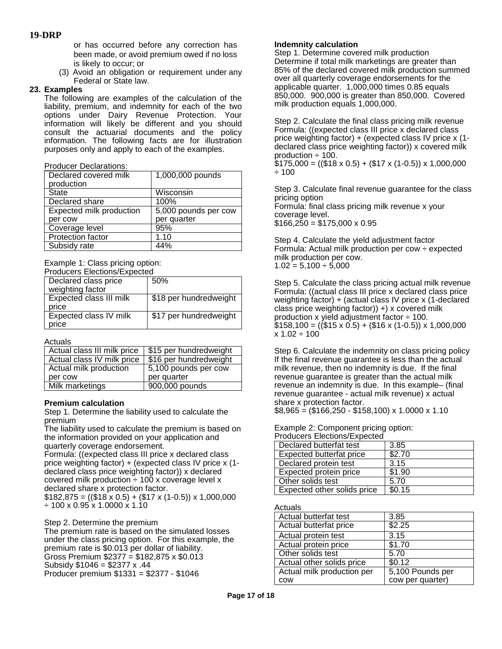or has occurred before any correction has been made, or avoid premium owed if no loss is likely to occur; or

(3) Avoid an obligation or requirement under any Federal or State law.

#### **23. Examples**

The following are examples of the calculation of the liability, premium, and indemnity for each of the two options under Dairy Revenue Protection. Your information will likely be different and you should consult the actuarial documents and the policy information. The following facts are for illustration purposes only and apply to each of the examples.

#### Producer Declarations:

| Declared covered milk<br>production | 1,000,000 pounds     |
|-------------------------------------|----------------------|
| State                               | Wisconsin            |
| Declared share                      | 100%                 |
| Expected milk production            | 5,000 pounds per cow |
| per cow                             | per quarter          |
| Coverage level                      | 95%                  |
| <b>Protection factor</b>            | 1.10                 |
| Subsidy rate                        | 44%                  |

Example 1: Class pricing option:

Producers Elections/Expected

| Declared class price             | 50%                    |
|----------------------------------|------------------------|
| weighting factor                 |                        |
| Expected class III milk<br>price | \$18 per hundredweight |
| Expected class IV milk<br>price  | \$17 per hundredweight |
|                                  |                        |

Actuals

| Actual class III milk price | \$15 per hundredweight       |
|-----------------------------|------------------------------|
| Actual class IV milk price  | \$16 per hundredweight       |
| Actual milk production      | 5,100 pounds per cow         |
| per cow                     | per quarter                  |
| Milk marketings             | $\overline{900}$ ,000 pounds |

#### **Premium calculation**

Step 1. Determine the liability used to calculate the premium

The liability used to calculate the premium is based on the information provided on your application and quarterly coverage endorsement.

Formula: ((expected class III price x declared class price weighting factor) + (expected class IV price x (1 declared class price weighting factor)) x declared covered milk production  $\div$  100 x coverage level x declared share x protection factor.  $$182,875 = (($18 x 0.5) + ($17 x (1-0.5)) x 1,000,000$ 

 $\div$  100 x 0.95 x 1.0000 x 1.10

#### Step 2. Determine the premium

The premium rate is based on the simulated losses under the class pricing option. For this example, the premium rate is \$0.013 per dollar of liability. Gross Premium  $$2377 = $182,875 \times $0.013$ Subsidy \$1046 = \$2377 x .44 Producer premium \$1331 = \$2377 - \$1046

#### **Indemnity calculation**

Step 1. Determine covered milk production Determine if total milk marketings are greater than 85% of the declared covered milk production summed over all quarterly coverage endorsements for the applicable quarter. 1,000,000 times 0.85 equals 850,000. 900,000 is greater than 850,000. Covered milk production equals 1,000,000.

Step 2. Calculate the final class pricing milk revenue Formula: ((expected class III price x declared class price weighting factor) + (expected class IV price x (1 declared class price weighting factor)) x covered milk production  $\div$  100.

 $$175,000 = (($18 x 0.5) + ($17 x (1-0.5)) x 1,000,000$ ÷ 100

Step 3. Calculate final revenue guarantee for the class pricing option Formula: final class pricing milk revenue x your coverage level.  $$166,250 = $175,000 \times 0.95$ 

Step 4. Calculate the yield adjustment factor Formula: Actual milk production per cow  $\div$  expected milk production per cow.  $1.02 = 5{,}100 \div 5{,}000$ 

Step 5. Calculate the class pricing actual milk revenue Formula: ((actual class III price x declared class price weighting factor) + (actual class IV price x (1-declared class price weighting factor)) +) x covered milk production x yield adjustment factor  $\div$  100.  $$158,100 = (($15 x 0.5) + ($16 x (1-0.5)) x 1,000,000$  $x 1.02 \div 100$ 

Step 6. Calculate the indemnity on class pricing policy If the final revenue guarantee is less than the actual milk revenue, then no indemnity is due. If the final revenue guarantee is greater than the actual milk revenue an indemnity is due. In this example– (final revenue guarantee - actual milk revenue) x actual share x protection factor.

 $$8,965 = ($166,250 - $158,100) \times 1.0000 \times 1.10$ 

#### Example 2: Component pricing option: Producers Elections/Expected

| <b>FIGULE LIECIUIS</b> LAPECIEU |        |
|---------------------------------|--------|
| Declared butterfat test         | 3.85   |
| Expected butterfat price        | \$2.70 |
| Declared protein test           | 3.15   |
| Expected protein price          | \$1.90 |
| Other solids test               | 5.70   |
| Expected other solids price     | \$0.15 |

#### Actuals

| Actual butterfat test      | 3.85             |
|----------------------------|------------------|
| Actual butterfat price     | \$2.25           |
| Actual protein test        | 3.15             |
| Actual protein price       | \$1.70           |
| Other solids test          | 5.70             |
| Actual other solids price  | \$0.12           |
| Actual milk production per | 5,100 Pounds per |
| COW                        | cow per quarter) |